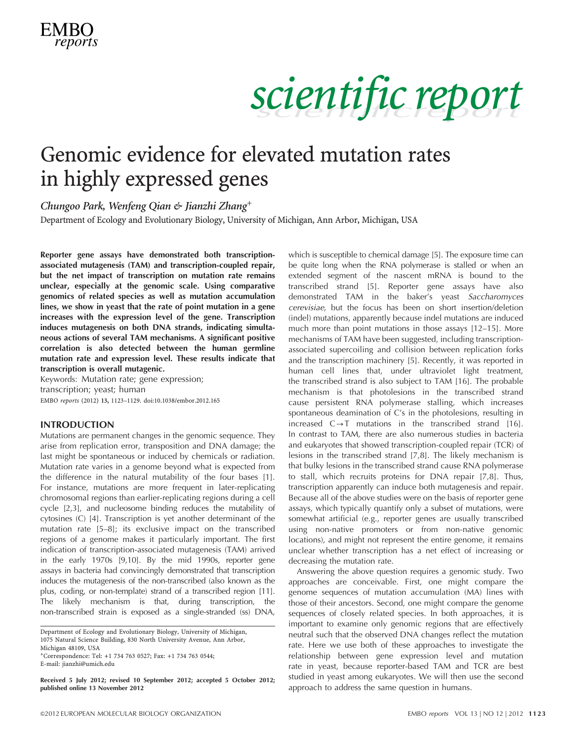# scientific report

### Genomic evidence for elevated mutation rates in highly expressed genes

Chungoo Park, Wenfeng Qian & Jianzhi Zhang+

Department of Ecology and Evolutionary Biology, University of Michigan, Ann Arbor, Michigan, USA

Reporter gene assays have demonstrated both transcriptionassociated mutagenesis (TAM) and transcription-coupled repair, but the net impact of transcription on mutation rate remains unclear, especially at the genomic scale. Using comparative genomics of related species as well as mutation accumulation lines, we show in yeast that the rate of point mutation in a gene increases with the expression level of the gene. Transcription induces mutagenesis on both DNA strands, indicating simultaneous actions of several TAM mechanisms. A significant positive correlation is also detected between the human germline mutation rate and expression level. These results indicate that transcription is overall mutagenic.

Keywords: Mutation rate; gene expression; transcription; yeast; human EMBO reports (2012) 13, 1123–1129. doi:10.1038/embor.2012.165

#### INTRODUCTION

Mutations are permanent changes in the genomic sequence. They arise from replication error, transposition and DNA damage; the last might be spontaneous or induced by chemicals or radiation. Mutation rate varies in a genome beyond what is expected from the difference in the natural mutability of the four bases [\[1](#page-5-0)]. For instance, mutations are more frequent in later-replicating chromosomal regions than earlier-replicating regions during a cell cycle [[2,3](#page-5-0)], and nucleosome binding reduces the mutability of cytosines (C) [[4\]](#page-5-0). Transcription is yet another determinant of the mutation rate [[5–8\]](#page-5-0); its exclusive impact on the transcribed regions of a genome makes it particularly important. The first indication of transcription-associated mutagenesis (TAM) arrived in the early 1970s [[9,10\]](#page-5-0). By the mid 1990s, reporter gene assays in bacteria had convincingly demonstrated that transcription induces the mutagenesis of the non-transcribed (also known as the plus, coding, or non-template) strand of a transcribed region [\[11](#page-5-0)]. The likely mechanism is that, during transcription, the non-transcribed strain is exposed as a single-stranded (ss) DNA,

+Correspondence: Tel: +1 734 763 0527; Fax: +1 734 763 0544; E-mail: [jianzhi@umich.edu](mailto:jianzhi@umich.edu)

Received 5 July 2012; revised 10 September 2012; accepted 5 October 2012; published online 13 November 2012

which is susceptible to chemical damage [\[5\]](#page-5-0). The exposure time can be quite long when the RNA polymerase is stalled or when an extended segment of the nascent mRNA is bound to the transcribed strand [[5](#page-5-0)]. Reporter gene assays have also demonstrated TAM in the baker's yeast Saccharomyces cerevisiae, but the focus has been on short insertion/deletion (indel) mutations, apparently because indel mutations are induced much more than point mutations in those assays [\[12–15\]](#page-5-0). More mechanisms of TAM have been suggested, including transcriptionassociated supercoiling and collision between replication forks and the transcription machinery [\[5\]](#page-5-0). Recently, it was reported in human cell lines that, under ultraviolet light treatment, the transcribed strand is also subject to TAM [[16](#page-5-0)]. The probable mechanism is that photolesions in the transcribed strand cause persistent RNA polymerase stalling, which increases spontaneous deamination of C's in the photolesions, resulting in increased  $C \rightarrow T$  mutations in the transcribed strand [[16](#page-5-0)]. In contrast to TAM, there are also numerous studies in bacteria and eukaryotes that showed transcription-coupled repair (TCR) of lesions in the transcribed strand [\[7,8](#page-5-0)]. The likely mechanism is that bulky lesions in the transcribed strand cause RNA polymerase to stall, which recruits proteins for DNA repair [\[7,8\]](#page-5-0). Thus, transcription apparently can induce both mutagenesis and repair. Because all of the above studies were on the basis of reporter gene assays, which typically quantify only a subset of mutations, were somewhat artificial (e.g., reporter genes are usually transcribed using non-native promoters or from non-native genomic locations), and might not represent the entire genome, it remains unclear whether transcription has a net effect of increasing or decreasing the mutation rate.

Answering the above question requires a genomic study. Two approaches are conceivable. First, one might compare the genome sequences of mutation accumulation (MA) lines with those of their ancestors. Second, one might compare the genome sequences of closely related species. In both approaches, it is important to examine only genomic regions that are effectively neutral such that the observed DNA changes reflect the mutation rate. Here we use both of these approaches to investigate the relationship between gene expression level and mutation rate in yeast, because reporter-based TAM and TCR are best studied in yeast among eukaryotes. We will then use the second approach to address the same question in humans.

Department of Ecology and Evolutionary Biology, University of Michigan, 1075 Natural Science Building, 830 North University Avenue, Ann Arbor, Michigan 48109, USA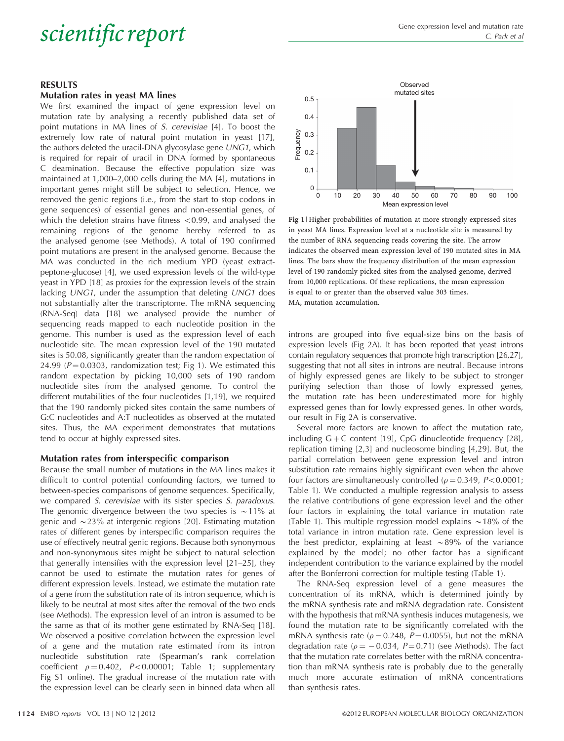### Scientific report Gene expression level and mutation rate of  $\frac{C}{C}$ . Park et al.

#### RESULTS

#### Mutation rates in yeast MA lines

We first examined the impact of gene expression level on mutation rate by analysing a recently published data set of point mutations in MA lines of S. cerevisiae [[4\]](#page-5-0). To boost the extremely low rate of natural point mutation in yeast [\[17](#page-5-0)], the authors deleted the uracil-DNA glycosylase gene UNG1, which is required for repair of uracil in DNA formed by spontaneous C deamination. Because the effective population size was maintained at 1,000–2,000 cells during the MA [\[4\]](#page-5-0), mutations in important genes might still be subject to selection. Hence, we removed the genic regions (i.e., from the start to stop codons in gene sequences) of essential genes and non-essential genes, of which the deletion strains have fitness  $< 0.99$ , and analysed the remaining regions of the genome hereby referred to as the analysed genome (see Methods). A total of 190 confirmed point mutations are present in the analysed genome. Because the MA was conducted in the rich medium YPD (yeast extractpeptone-glucose) [\[4](#page-5-0)], we used expression levels of the wild-type yeast in YPD [[18](#page-5-0)] as proxies for the expression levels of the strain lacking UNG1, under the assumption that deleting UNG1 does not substantially alter the transcriptome. The mRNA sequencing (RNA-Seq) data [\[18\]](#page-5-0) we analysed provide the number of sequencing reads mapped to each nucleotide position in the genome. This number is used as the expression level of each nucleotide site. The mean expression level of the 190 mutated sites is 50.08, significantly greater than the random expectation of 24.99 ( $P = 0.0303$ , randomization test; Fig 1). We estimated this random expectation by picking 10,000 sets of 190 random nucleotide sites from the analysed genome. To control the different mutabilities of the four nucleotides [\[1,19\]](#page-5-0), we required that the 190 randomly picked sites contain the same numbers of G:C nucleotides and A:T nucleotides as observed at the mutated sites. Thus, the MA experiment demonstrates that mutations tend to occur at highly expressed sites.

#### Mutation rates from interspecific comparison

Because the small number of mutations in the MA lines makes it difficult to control potential confounding factors, we turned to between-species comparisons of genome sequences. Specifically, we compared S. cerevisiae with its sister species S. paradoxus. The genomic divergence between the two species is  $\sim$ 11% at genic and  $\sim$  23% at intergenic regions [[20\]](#page-5-0). Estimating mutation rates of different genes by interspecific comparison requires the use of effectively neutral genic regions. Because both synonymous and non-synonymous sites might be subject to natural selection that generally intensifies with the expression level [[21–25\]](#page-5-0), they cannot be used to estimate the mutation rates for genes of different expression levels. Instead, we estimate the mutation rate of a gene from the substitution rate of its intron sequence, which is likely to be neutral at most sites after the removal of the two ends (see Methods). The expression level of an intron is assumed to be the same as that of its mother gene estimated by RNA-Seq [\[18](#page-5-0)]. We observed a positive correlation between the expression level of a gene and the mutation rate estimated from its intron nucleotide substitution rate (Spearman's rank correlation coefficient  $\rho = 0.402$ , P<0.00001; [Table 1;](#page-2-0) supplementary Fig S1 online). The gradual increase of the mutation rate with the expression level can be clearly seen in binned data when all



Fig 1 | Higher probabilities of mutation at more strongly expressed sites in yeast MA lines. Expression level at a nucleotide site is measured by the number of RNA sequencing reads covering the site. The arrow indicates the observed mean expression level of 190 mutated sites in MA lines. The bars show the frequency distribution of the mean expression level of 190 randomly picked sites from the analysed genome, derived from 10,000 replications. Of these replications, the mean expression is equal to or greater than the observed value 303 times. MA, mutation accumulation.

introns are grouped into five equal-size bins on the basis of expression levels [\(Fig 2A\)](#page-3-0). It has been reported that yeast introns contain regulatory sequences that promote high transcription [\[26,27\]](#page-5-0), suggesting that not all sites in introns are neutral. Because introns of highly expressed genes are likely to be subject to stronger purifying selection than those of lowly expressed genes, the mutation rate has been underestimated more for highly expressed genes than for lowly expressed genes. In other words, our result in [Fig 2A](#page-3-0) is conservative.

Several more factors are known to affect the mutation rate, including  $G + C$  content [[19\]](#page-5-0), CpG dinucleotide frequency [[28](#page-6-0)], replication timing [\[2,3](#page-5-0)] and nucleosome binding [\[4,29](#page-5-0)]. But, the partial correlation between gene expression level and intron substitution rate remains highly significant even when the above four factors are simultaneously controlled ( $\rho = 0.349$ ,  $P < 0.0001$ ; [Table 1\)](#page-2-0). We conducted a multiple regression analysis to assess the relative contributions of gene expression level and the other four factors in explaining the total variance in mutation rate [\(Table 1](#page-2-0)). This multiple regression model explains  $\sim$  18% of the total variance in intron mutation rate. Gene expression level is the best predictor, explaining at least  $\sim 89\%$  of the variance explained by the model; no other factor has a significant independent contribution to the variance explained by the model after the Bonferroni correction for multiple testing [\(Table 1\)](#page-2-0).

The RNA-Seq expression level of a gene measures the concentration of its mRNA, which is determined jointly by the mRNA synthesis rate and mRNA degradation rate. Consistent with the hypothesis that mRNA synthesis induces mutagenesis, we found the mutation rate to be significantly correlated with the mRNA synthesis rate ( $\rho = 0.248$ ,  $P = 0.0055$ ), but not the mRNA degradation rate ( $\rho = -0.034$ ,  $P = 0.71$ ) (see Methods). The fact that the mutation rate correlates better with the mRNA concentration than mRNA synthesis rate is probably due to the generally much more accurate estimation of mRNA concentrations than synthesis rates.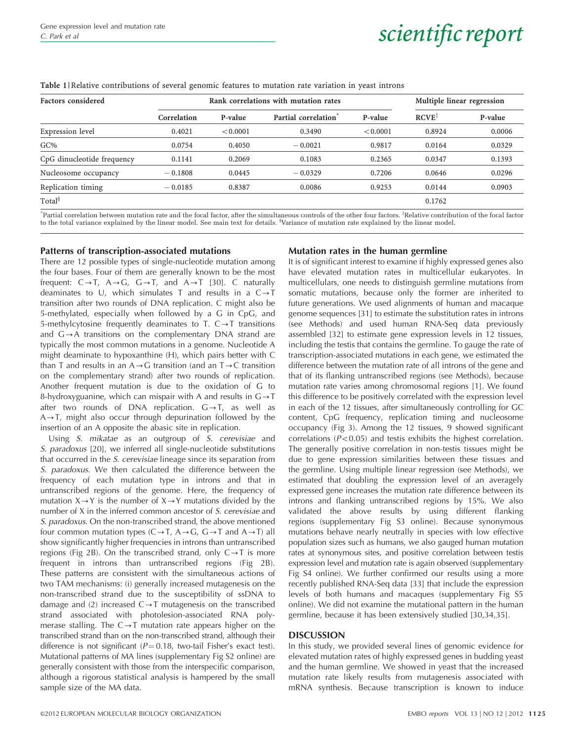# <span id="page-2-0"></span>Gene expression level and mutation rate  $\frac{C. Park$  et al scientific report

#### Table 1 |Relative contributions of several genomic features to mutation rate variation in yeast introns

| Rank correlations with mutation rates |          |                                  |          | Multiple linear regression |         |
|---------------------------------------|----------|----------------------------------|----------|----------------------------|---------|
| Correlation                           | P-value  | Partial correlation <sup>®</sup> | P-value  | $RCVE^{\ddagger}$          | P-value |
| 0.4021                                | < 0.0001 | 0.3490                           | < 0.0001 | 0.8924                     | 0.0006  |
| 0.0754                                | 0.4050   | $-0.0021$                        | 0.9817   | 0.0164                     | 0.0329  |
| 0.1141                                | 0.2069   | 0.1083                           | 0.2365   | 0.0347                     | 0.1393  |
| $-0.1808$                             | 0.0445   | $-0.0329$                        | 0.7206   | 0.0646                     | 0.0296  |
| $-0.0185$                             | 0.8387   | 0.0086                           | 0.9253   | 0.0144                     | 0.0903  |
|                                       |          |                                  |          | 0.1762                     |         |
|                                       |          |                                  |          |                            |         |

"Partial correlation between mutation rate and the focal factor, after the simultaneous controls of the other four factors. <sup>‡</sup>Relative contribution of the focal factor to the total variance explained by the linear model. See main text for details. Wariance of mutation rate explained by the linear model.

#### Patterns of transcription-associated mutations

#### Mutation rates in the human germline

There are 12 possible types of single-nucleotide mutation among the four bases. Four of them are generally known to be the most frequent:  $C \rightarrow T$ ,  $A \rightarrow G$ ,  $G \rightarrow T$ , and  $A \rightarrow T$  [[30](#page-6-0)]. C naturally deaminates to U, which simulates T and results in a  $C \rightarrow T$ transition after two rounds of DNA replication. C might also be 5-methylated, especially when followed by a G in CpG, and 5-methylcytosine frequently deaminates to T.  $C \rightarrow T$  transitions and  $G \rightarrow A$  transitions on the complementary DNA strand are typically the most common mutations in a genome. Nucleotide A might deaminate to hypoxanthine (H), which pairs better with C than T and results in an  $A \rightarrow G$  transition (and an  $T \rightarrow C$  transition on the complementary strand) after two rounds of replication. Another frequent mutation is due to the oxidation of G to 8-hydroxyguanine, which can mispair with A and results in  $G \rightarrow T$ after two rounds of DNA replication.  $G \rightarrow T$ , as well as  $A \rightarrow T$ , might also occur through depurination followed by the insertion of an A opposite the abasic site in replication.

Using S. mikatae as an outgroup of S. cerevisiae and S. paradoxus [[20](#page-5-0)], we inferred all single-nucleotide substitutions that occurred in the S. cerevisiae lineage since its separation from S. paradoxus. We then calculated the difference between the frequency of each mutation type in introns and that in untranscribed regions of the genome. Here, the frequency of mutation  $X \rightarrow Y$  is the number of  $X \rightarrow Y$  mutations divided by the number of X in the inferred common ancestor of S. cerevisiae and S. paradoxus. On the non-transcribed strand, the above mentioned four common mutation types  $(C \rightarrow T, A \rightarrow G, G \rightarrow T$  and  $A \rightarrow T$ ) all show significantly higher frequencies in introns than untranscribed regions [\(Fig 2B](#page-3-0)). On the transcribed strand, only  $C \rightarrow T$  is more frequent in introns than untranscribed regions ([Fig 2B\)](#page-3-0). These patterns are consistent with the simultaneous actions of two TAM mechanisms: (i) generally increased mutagenesis on the non-transcribed strand due to the susceptibility of ssDNA to damage and (2) increased  $C \rightarrow T$  mutagenesis on the transcribed strand associated with photolesion-associated RNA polymerase stalling. The  $C \rightarrow T$  mutation rate appears higher on the transcribed strand than on the non-transcribed strand, although their difference is not significant ( $P = 0.18$ , two-tail Fisher's exact test). Mutational patterns of MA lines (supplementary Fig S2 online) are generally consistent with those from the interspecific comparison, although a rigorous statistical analysis is hampered by the small sample size of the MA data.

It is of significant interest to examine if highly expressed genes also have elevated mutation rates in multicellular eukaryotes. In multicellulars, one needs to distinguish germline mutations from somatic mutations, because only the former are inherited to future generations. We used alignments of human and macaque genome sequences [[31\]](#page-6-0) to estimate the substitution rates in introns (see Methods) and used human RNA-Seq data previously assembled [[32](#page-6-0)] to estimate gene expression levels in 12 tissues, including the testis that contains the germline. To gauge the rate of transcription-associated mutations in each gene, we estimated the difference between the mutation rate of all introns of the gene and that of its flanking untranscribed regions (see Methods), because mutation rate varies among chromosomal regions [\[1\]](#page-5-0). We found this difference to be positively correlated with the expression level in each of the 12 tissues, after simultaneously controlling for GC content, CpG frequency, replication timing and nucleosome occupancy [\(Fig 3](#page-4-0)). Among the 12 tissues, 9 showed significant correlations ( $P < 0.05$ ) and testis exhibits the highest correlation. The generally positive correlation in non-testis tissues might be due to gene expression similarities between these tissues and the germline. Using multiple linear regression (see Methods), we estimated that doubling the expression level of an averagely expressed gene increases the mutation rate difference between its introns and flanking untranscribed regions by 15%. We also validated the above results by using different flanking regions (supplementary Fig S3 online). Because synonymous mutations behave nearly neutrally in species with low effective population sizes such as humans, we also gauged human mutation rates at synonymous sites, and positive correlation between testis expression level and mutation rate is again observed (supplementary Fig S4 online). We further confirmed our results using a more recently published RNA-Seq data [[33\]](#page-6-0) that include the expression levels of both humans and macaques (supplementary Fig S5 online). We did not examine the mutational pattern in the human germline, because it has been extensively studied [[30,34,35\]](#page-6-0).

#### DISCUSSION

In this study, we provided several lines of genomic evidence for elevated mutation rates of highly expressed genes in budding yeast and the human germline. We showed in yeast that the increased mutation rate likely results from mutagenesis associated with mRNA synthesis. Because transcription is known to induce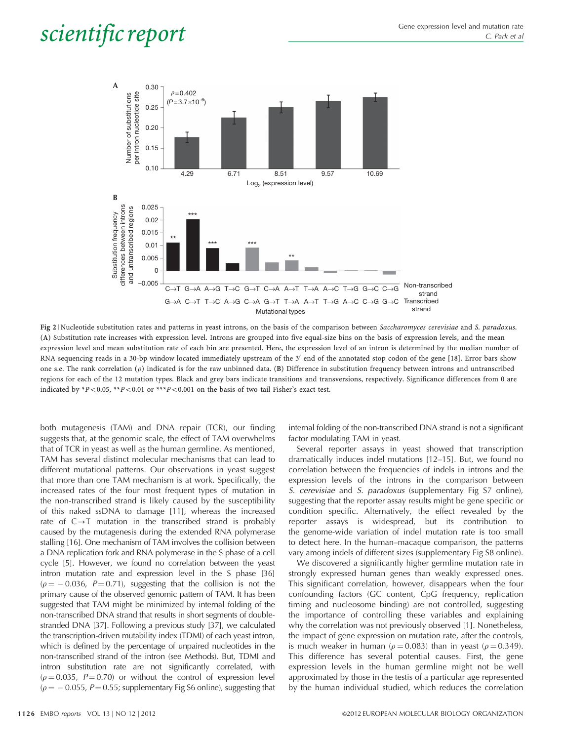## <span id="page-3-0"></span> $\textit{scientific report} \hspace{1cm} \begin{array}{c} \textit{Gene expression level and mutation rate} \\\textit{Cone expression level and mutation rate} \end{array}$



Fig 2 | Nucleotide substitution rates and patterns in yeast introns, on the basis of the comparison between Saccharomyces cerevisiae and S. paradoxus. (A) Substitution rate increases with expression level. Introns are grouped into five equal-size bins on the basis of expression levels, and the mean expression level and mean substitution rate of each bin are presented. Here, the expression level of an intron is determined by the median number of RNA sequencing reads in a 30-bp window located immediately upstream of the  $3'$  end of the annotated stop codon of the gene [[18](#page-5-0)]. Error bars show one s.e. The rank correlation  $(\rho)$  indicated is for the raw unbinned data. (B) Difference in substitution frequency between introns and untranscribed regions for each of the 12 mutation types. Black and grey bars indicate transitions and transversions, respectively. Significance differences from 0 are indicated by \*P<0.05, \*\*P<0.01 or \*\*\*P<0.001 on the basis of two-tail Fisher's exact test.

both mutagenesis (TAM) and DNA repair (TCR), our finding suggests that, at the genomic scale, the effect of TAM overwhelms that of TCR in yeast as well as the human germline. As mentioned, TAM has several distinct molecular mechanisms that can lead to different mutational patterns. Our observations in yeast suggest that more than one TAM mechanism is at work. Specifically, the increased rates of the four most frequent types of mutation in the non-transcribed strand is likely caused by the susceptibility of this naked ssDNA to damage [[11](#page-5-0)], whereas the increased rate of  $C \rightarrow T$  mutation in the transcribed strand is probably caused by the mutagenesis during the extended RNA polymerase stalling [\[16](#page-5-0)]. One mechanism of TAM involves the collision between a DNA replication fork and RNA polymerase in the S phase of a cell cycle [\[5\]](#page-5-0). However, we found no correlation between the yeast intron mutation rate and expression level in the S phase [\[36\]](#page-6-0)  $(\rho = -0.036, P = 0.71)$ , suggesting that the collision is not the primary cause of the observed genomic pattern of TAM. It has been suggested that TAM might be minimized by internal folding of the non-transcribed DNA strand that results in short segments of doublestranded DNA [[37](#page-6-0)]. Following a previous study [\[37](#page-6-0)], we calculated the transcription-driven mutability index (TDMI) of each yeast intron, which is defined by the percentage of unpaired nucleotides in the non-transcribed strand of the intron (see Methods). But, TDMI and intron substitution rate are not significantly correlated, with  $(\rho = 0.035, P = 0.70)$  or without the control of expression level ( $\rho = -$  0.055, P= 0.55; supplementary Fig S6 online), suggesting that

internal folding of the non-transcribed DNA strand is not a significant factor modulating TAM in yeast.

Several reporter assays in yeast showed that transcription dramatically induces indel mutations [[12–15](#page-5-0)]. But, we found no correlation between the frequencies of indels in introns and the expression levels of the introns in the comparison between S. cerevisiae and S. paradoxus (supplementary Fig S7 online), suggesting that the reporter assay results might be gene specific or condition specific. Alternatively, the effect revealed by the reporter assays is widespread, but its contribution to the genome-wide variation of indel mutation rate is too small to detect here. In the human–macaque comparison, the patterns vary among indels of different sizes (supplementary Fig S8 online).

We discovered a significantly higher germline mutation rate in strongly expressed human genes than weakly expressed ones. This significant correlation, however, disappears when the four confounding factors (GC content, CpG frequency, replication timing and nucleosome binding) are not controlled, suggesting the importance of controlling these variables and explaining why the correlation was not previously observed [[1](#page-5-0)]. Nonetheless, the impact of gene expression on mutation rate, after the controls, is much weaker in human ( $\rho = 0.083$ ) than in yeast ( $\rho = 0.349$ ). This difference has several potential causes. First, the gene expression levels in the human germline might not be well approximated by those in the testis of a particular age represented by the human individual studied, which reduces the correlation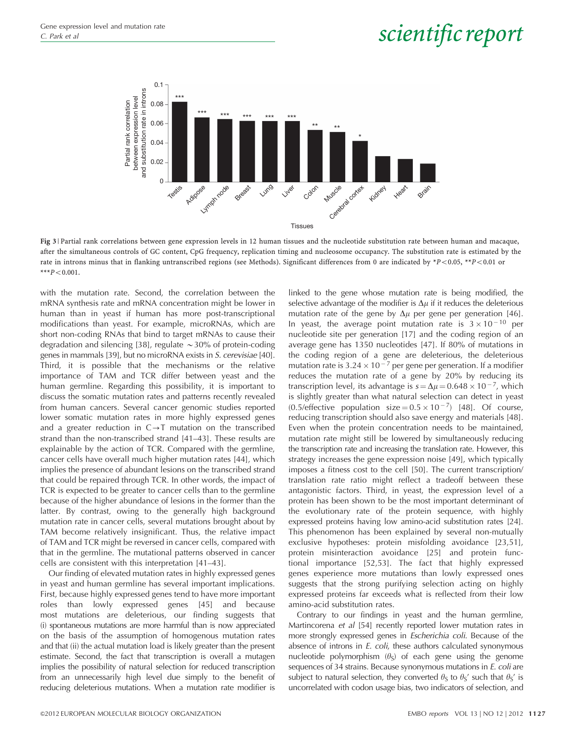# <span id="page-4-0"></span>Gene expression level and mutation rate  $\frac{C. Park$  et al scientific report



Fig 3 | Partial rank correlations between gene expression levels in 12 human tissues and the nucleotide substitution rate between human and macaque, after the simultaneous controls of GC content, CpG frequency, replication timing and nucleosome occupancy. The substitution rate is estimated by the rate in introns minus that in flanking untranscribed regions (see Methods). Significant differences from 0 are indicated by \*P<0.05, \*\*P<0.01 or  $***P<0.001$ .

with the mutation rate. Second, the correlation between the mRNA synthesis rate and mRNA concentration might be lower in human than in yeast if human has more post-transcriptional modifications than yeast. For example, microRNAs, which are short non-coding RNAs that bind to target mRNAs to cause their degradation and silencing [[38](#page-6-0)], regulate  $\sim$ 30% of protein-coding genes in mammals [\[39\]](#page-6-0), but no microRNA exists in S. cerevisiae [\[40](#page-6-0)]. Third, it is possible that the mechanisms or the relative importance of TAM and TCR differ between yeast and the human germline. Regarding this possibility, it is important to discuss the somatic mutation rates and patterns recently revealed from human cancers. Several cancer genomic studies reported lower somatic mutation rates in more highly expressed genes and a greater reduction in  $C \rightarrow T$  mutation on the transcribed strand than the non-transcribed strand [[41–43](#page-6-0)]. These results are explainable by the action of TCR. Compared with the germline, cancer cells have overall much higher mutation rates [\[44](#page-6-0)], which implies the presence of abundant lesions on the transcribed strand that could be repaired through TCR. In other words, the impact of TCR is expected to be greater to cancer cells than to the germline because of the higher abundance of lesions in the former than the latter. By contrast, owing to the generally high background mutation rate in cancer cells, several mutations brought about by TAM become relatively insignificant. Thus, the relative impact of TAM and TCR might be reversed in cancer cells, compared with that in the germline. The mutational patterns observed in cancer cells are consistent with this interpretation [[41–43](#page-6-0)].

Our finding of elevated mutation rates in highly expressed genes in yeast and human germline has several important implications. First, because highly expressed genes tend to have more important roles than lowly expressed genes [\[45\]](#page-6-0) and because most mutations are deleterious, our finding suggests that (i) spontaneous mutations are more harmful than is now appreciated on the basis of the assumption of homogenous mutation rates and that (ii) the actual mutation load is likely greater than the present estimate. Second, the fact that transcription is overall a mutagen implies the possibility of natural selection for reduced transcription from an unnecessarily high level due simply to the benefit of reducing deleterious mutations. When a mutation rate modifier is

linked to the gene whose mutation rate is being modified, the selective advantage of the modifier is  $\Delta \mu$  if it reduces the deleterious mutation rate of the gene by  $\Delta \mu$  per gene per generation [[46](#page-6-0)]. In yeast, the average point mutation rate is  $3 \times 10^{-10}$  per nucleotide site per generation [[17](#page-5-0)] and the coding region of an average gene has 1350 nucleotides [[47\]](#page-6-0). If 80% of mutations in the coding region of a gene are deleterious, the deleterious mutation rate is  $3.24 \times 10^{-7}$  per gene per generation. If a modifier reduces the mutation rate of a gene by 20% by reducing its transcription level, its advantage is  $s = \Delta \mu = 0.648 \times 10^{-7}$ , which is slightly greater than what natural selection can detect in yeast (0.5/effective population size =  $0.5 \times 10^{-7}$ ) [\[48\]](#page-6-0). Of course, reducing transcription should also save energy and materials [[48](#page-6-0)]. Even when the protein concentration needs to be maintained, mutation rate might still be lowered by simultaneously reducing the transcription rate and increasing the translation rate. However, this strategy increases the gene expression noise [[49](#page-6-0)], which typically imposes a fitness cost to the cell [\[50\]](#page-6-0). The current transcription/ translation rate ratio might reflect a tradeoff between these antagonistic factors. Third, in yeast, the expression level of a protein has been shown to be the most important determinant of the evolutionary rate of the protein sequence, with highly expressed proteins having low amino-acid substitution rates [\[24](#page-5-0)]. This phenomenon has been explained by several non-mutually exclusive hypotheses: protein misfolding avoidance [[23,51](#page-5-0)], protein misinteraction avoidance [\[25](#page-5-0)] and protein functional importance [[52,53](#page-6-0)]. The fact that highly expressed genes experience more mutations than lowly expressed ones suggests that the strong purifying selection acting on highly expressed proteins far exceeds what is reflected from their low amino-acid substitution rates.

Contrary to our findings in yeast and the human germline, Martincorena et al [\[54](#page-6-0)] recently reported lower mutation rates in more strongly expressed genes in Escherichia coli. Because of the absence of introns in E. coli, these authors calculated synonymous nucleotide polymorphism  $(\theta_{\rm S})$  of each gene using the genome sequences of 34 strains. Because synonymous mutations in E. coli are subject to natural selection, they converted  $\theta_s$  to  $\theta_s$ ' such that  $\theta_s$ ' is uncorrelated with codon usage bias, two indicators of selection, and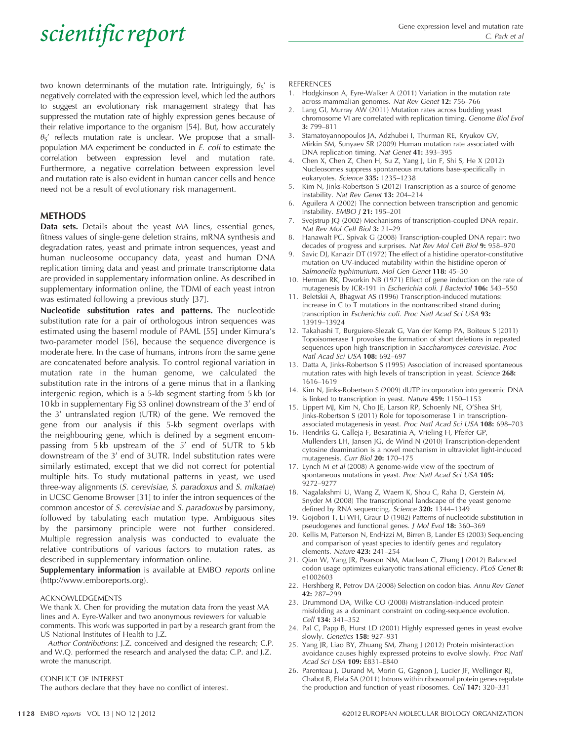## <span id="page-5-0"></span> $\textit{scientific report} \hspace{1cm} \begin{array}{c} \textit{Gene expression level and mutation rate} \\\textit{Cone expression level and mutation rate} \end{array}$

two known determinants of the mutation rate. Intriguingly,  $\theta$ <sub>S</sub>' is negatively correlated with the expression level, which led the authors to suggest an evolutionary risk management strategy that has suppressed the mutation rate of highly expression genes because of their relative importance to the organism [\[54](#page-6-0)]. But, how accurately  $\theta$ <sub>S</sub>' reflects mutation rate is unclear. We propose that a smallpopulation MA experiment be conducted in E. coli to estimate the correlation between expression level and mutation rate. Furthermore, a negative correlation between expression level and mutation rate is also evident in human cancer cells and hence need not be a result of evolutionary risk management.

#### METHODS

Data sets. Details about the yeast MA lines, essential genes, fitness values of single-gene deletion strains, mRNA synthesis and degradation rates, yeast and primate intron sequences, yeast and human nucleosome occupancy data, yeast and human DNA replication timing data and yeast and primate transcriptome data are provided in supplementary information online. As described in supplementary information online, the TDMI of each yeast intron was estimated following a previous study [[37](#page-6-0)].

Nucleotide substitution rates and patterns. The nucleotide substitution rate for a pair of orthologous intron sequences was estimated using the baseml module of PAML [[55](#page-6-0)] under Kimura's two-parameter model [[56\]](#page-6-0), because the sequence divergence is moderate here. In the case of humans, introns from the same gene are concatenated before analysis. To control regional variation in mutation rate in the human genome, we calculated the substitution rate in the introns of a gene minus that in a flanking intergenic region, which is a 5-kb segment starting from 5 kb (or 10 kb in supplementary Fig S3 online) downstream of the  $3'$  end of the  $3'$  untranslated region (UTR) of the gene. We removed the gene from our analysis if this 5-kb segment overlaps with the neighbouring gene, which is defined by a segment encompassing from  $5 \text{ kb}$  upstream of the  $5'$  end of  $5 \text{ UTR}$  to  $5 \text{ kb}$ downstream of the  $3'$  end of  $3$ UTR. Indel substitution rates were similarly estimated, except that we did not correct for potential multiple hits. To study mutational patterns in yeast, we used three-way alignments (S. cerevisiae, S. paradoxus and S. mikatae) in UCSC Genome Browser [\[31\]](#page-6-0) to infer the intron sequences of the common ancestor of S. cerevisiae and S. paradoxus by parsimony, followed by tabulating each mutation type. Ambiguous sites by the parsimony principle were not further considered. Multiple regression analysis was conducted to evaluate the relative contributions of various factors to mutation rates, as described in supplementary information online.

Supplementary information is available at EMBO reports online ([http://www.emboreports.org\)](http://www.emboreports.org).

#### ACKNOWLEDGEMENTS

We thank X. Chen for providing the mutation data from the yeast MA lines and A. Eyre-Walker and two anonymous reviewers for valuable comments. This work was supported in part by a research grant from the US National Institutes of Health to J.Z.

Author Contributions: J.Z. conceived and designed the research; C.P. and W.Q. performed the research and analysed the data; C.P. and J.Z. wrote the manuscript.

#### CONFLICT OF INTEREST

The authors declare that they have no conflict of interest.

#### REFERENCES

- 1. Hodgkinson A, Eyre-Walker A (2011) Variation in the mutation rate across mammalian genomes. Nat Rev Genet 12: 756–766
- 2. Lang GI, Murray AW (2011) Mutation rates across budding yeast chromosome VI are correlated with replication timing. Genome Biol Evol 3: 799–811
- 3. Stamatoyannopoulos JA, Adzhubei I, Thurman RE, Kryukov GV, Mirkin SM, Sunyaev SR (2009) Human mutation rate associated with DNA replication timing. Nat Genet 41: 393–395
- 4. Chen X, Chen Z, Chen H, Su Z, Yang J, Lin F, Shi S, He X (2012) Nucleosomes suppress spontaneous mutations base-specifically in eukaryotes. Science 335: 1235–1238
- 5. Kim N, Jinks-Robertson S (2012) Transcription as a source of genome instability. Nat Rev Genet 13: 204–214
- 6. Aguilera A (2002) The connection between transcription and genomic instability. EMBO J 21: 195–201
- 7. Svejstrup JQ (2002) Mechanisms of transcription-coupled DNA repair. Nat Rev Mol Cell Biol 3: 21–29
- 8. Hanawalt PC, Spivak G (2008) Transcription-coupled DNA repair: two decades of progress and surprises. Nat Rev Mol Cell Biol 9: 958–970
- Savic DJ, Kanazir DT (1972) The effect of a histidine operator-constitutive mutation on UV-induced mutability within the histidine operon of Salmonella typhimurium. Mol Gen Genet 118: 45-50
- 10. Herman RK, Dworkin NB (1971) Effect of gene induction on the rate of mutagenesis by ICR-191 in Escherichia coli. J Bacteriol 106: 543-550
- 11. Beletskii A, Bhagwat AS (1996) Transcription-induced mutations: increase in C to T mutations in the nontranscribed strand during transcription in Escherichia coli. Proc Natl Acad Sci USA 93: 13919–13924
- 12. Takahashi T, Burguiere-Slezak G, Van der Kemp PA, Boiteux S (2011) Topoisomerase 1 provokes the formation of short deletions in repeated sequences upon high transcription in Saccharomyces cerevisiae. Proc Natl Acad Sci USA 108: 692–697
- 13. Datta A, Jinks-Robertson S (1995) Association of increased spontaneous mutation rates with high levels of transcription in yeast. Science 268: 1616–1619
- 14. Kim N, Jinks-Robertson S (2009) dUTP incorporation into genomic DNA is linked to transcription in yeast. Nature 459: 1150–1153
- 15. Lippert MJ, Kim N, Cho JE, Larson RP, Schoenly NE, O'Shea SH, Jinks-Robertson S (2011) Role for topoisomerase 1 in transcriptionassociated mutagenesis in yeast. Proc Natl Acad Sci USA 108: 698–703
- 16. Hendriks G, Calleja F, Besaratinia A, Vrieling H, Pfeifer GP, Mullenders LH, Jansen JG, de Wind N (2010) Transcription-dependent cytosine deamination is a novel mechanism in ultraviolet light-induced mutagenesis. Curr Biol 20: 170-175
- 17. Lynch M et al (2008) A genome-wide view of the spectrum of spontaneous mutations in yeast. Proc Natl Acad Sci USA 105: 9272–9277
- 18. Nagalakshmi U, Wang Z, Waern K, Shou C, Raha D, Gerstein M, Snyder M (2008) The transcriptional landscape of the yeast genome defined by RNA sequencing. Science 320: 1344–1349
- 19. Gojobori T, Li WH, Graur D (1982) Patterns of nucleotide substitution in pseudogenes and functional genes. J Mol Evol 18: 360–369
- 20. Kellis M, Patterson N, Endrizzi M, Birren B, Lander ES (2003) Sequencing and comparison of yeast species to identify genes and regulatory elements. Nature 423: 241–254
- 21. Qian W, Yang JR, Pearson NM, Maclean C, Zhang J (2012) Balanced codon usage optimizes eukaryotic translational efficiency. PLoS Genet 8: e1002603
- 22. Hershberg R, Petrov DA (2008) Selection on codon bias. Annu Rev Genet 42: 287–299
- 23. Drummond DA, Wilke CO (2008) Mistranslation-induced protein misfolding as a dominant constraint on coding-sequence evolution. Cell 134: 341–352
- 24. Pal C, Papp B, Hurst LD (2001) Highly expressed genes in yeast evolve slowly. Genetics 158: 927–931
- 25. Yang JR, Liao BY, Zhuang SM, Zhang J (2012) Protein misinteraction avoidance causes highly expressed proteins to evolve slowly. Proc Natl Acad Sci USA 109: E831–E840
- 26. Parenteau J, Durand M, Morin G, Gagnon J, Lucier JF, Wellinger RJ, Chabot B, Elela SA (2011) Introns within ribosomal protein genes regulate the production and function of yeast ribosomes. Cell 147: 320–331